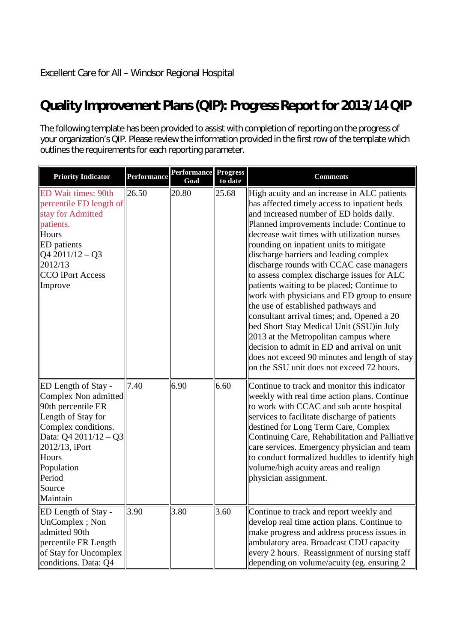## **Quality Improvement Plans (QIP): Progress Report for 2013/14 QIP**

The following template has been provided to assist with completion of reporting on the progress of your organization's QIP. Please review the information provided in the first row of the template which outlines the requirements for each reporting parameter.

| <b>Priority Indicator</b>                                                                                                                                                                                                                    | <b>Performance</b> | <b>Performance</b><br>Goal | <b>Progress</b><br>to date | <b>Comments</b>                                                                                                                                                                                                                                                                                                                                                                                                                                                                                                                                                                                                                                                                                                                                                                                                                       |
|----------------------------------------------------------------------------------------------------------------------------------------------------------------------------------------------------------------------------------------------|--------------------|----------------------------|----------------------------|---------------------------------------------------------------------------------------------------------------------------------------------------------------------------------------------------------------------------------------------------------------------------------------------------------------------------------------------------------------------------------------------------------------------------------------------------------------------------------------------------------------------------------------------------------------------------------------------------------------------------------------------------------------------------------------------------------------------------------------------------------------------------------------------------------------------------------------|
| <b>ED Wait times: 90th</b><br>percentile ED length of<br>stay for Admitted<br>patients.<br>Hours<br><b>ED</b> patients<br>$\left  \frac{Q4 \cdot 2011}{12} - Q3 \right $<br>2012/13<br>CCO iPort Access<br>Improve                           | 26.50              | 20.80                      | 25.68                      | High acuity and an increase in ALC patients<br>has affected timely access to inpatient beds<br>and increased number of ED holds daily.<br>Planned improvements include: Continue to<br>decrease wait times with utilization nurses<br>rounding on inpatient units to mitigate<br>discharge barriers and leading complex<br>discharge rounds with CCAC case managers<br>to assess complex discharge issues for ALC<br>patients waiting to be placed; Continue to<br>work with physicians and ED group to ensure<br>the use of established pathways and<br>consultant arrival times; and, Opened a 20<br>bed Short Stay Medical Unit (SSU)in July<br>2013 at the Metropolitan campus where<br>decision to admit in ED and arrival on unit<br>does not exceed 90 minutes and length of stay<br>on the SSU unit does not exceed 72 hours. |
| <b>ED</b> Length of Stay -<br>Complex Non admitted<br>90th percentile ER<br>Length of Stay for<br>Complex conditions.<br>Data: $Q4\ 2011/12 - Q3$<br>$\left  2012/13, 1 \right $ Port<br>Hours<br>Population<br>Period<br>Source<br>Maintain | 7.40               | 6.90                       | 6.60                       | Continue to track and monitor this indicator<br>weekly with real time action plans. Continue<br>to work with CCAC and sub acute hospital<br>services to facilitate discharge of patients<br>destined for Long Term Care, Complex<br>Continuing Care, Rehabilitation and Palliative<br>care services. Emergency physician and team<br>to conduct formalized huddles to identify high<br>volume/high acuity areas and realign<br>physician assignment.                                                                                                                                                                                                                                                                                                                                                                                  |
| ED Length of Stay -<br>UnComplex; Non<br>admitted 90th<br>$\parallel$ percentile ER Length<br>of Stay for Uncomplex<br>conditions. Data: Q4                                                                                                  | 3.90               | 3.80                       | 3.60                       | Continue to track and report weekly and<br>develop real time action plans. Continue to<br>make progress and address process issues in<br>ambulatory area. Broadcast CDU capacity<br>every 2 hours. Reassignment of nursing staff<br>depending on volume/acuity (eg. ensuring 2                                                                                                                                                                                                                                                                                                                                                                                                                                                                                                                                                        |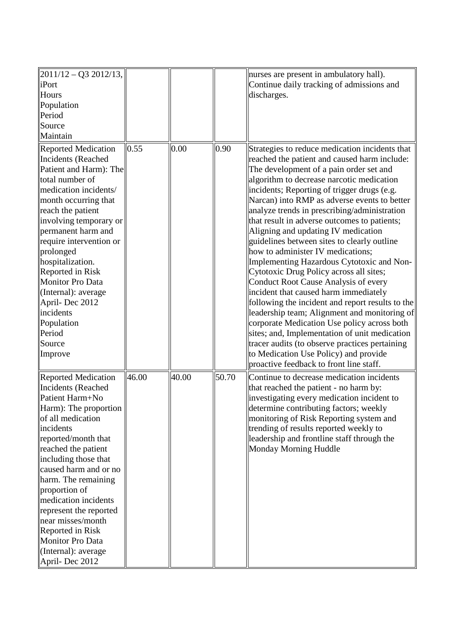| $ 2011/12 - Q32012/13 $<br>iPort<br>Hours<br>Population<br>Period<br>Source<br>Maintain                                                                                                                                                                                                                                                                                                                                                              |       |       |       | nurses are present in ambulatory hall).<br>Continue daily tracking of admissions and<br>discharges.                                                                                                                                                                                                                                                                                                                                                                                                                                                                                                                                                                                                                                                                                                                                                                                                                                                                                                                                 |
|------------------------------------------------------------------------------------------------------------------------------------------------------------------------------------------------------------------------------------------------------------------------------------------------------------------------------------------------------------------------------------------------------------------------------------------------------|-------|-------|-------|-------------------------------------------------------------------------------------------------------------------------------------------------------------------------------------------------------------------------------------------------------------------------------------------------------------------------------------------------------------------------------------------------------------------------------------------------------------------------------------------------------------------------------------------------------------------------------------------------------------------------------------------------------------------------------------------------------------------------------------------------------------------------------------------------------------------------------------------------------------------------------------------------------------------------------------------------------------------------------------------------------------------------------------|
| <b>Reported Medication</b><br><b>Incidents</b> (Reached<br>Patient and Harm): The<br>total number of<br>medication incidents/<br>month occurring that<br>reach the patient<br>involving temporary or<br>permanent harm and<br>require intervention or<br>prolonged<br>hospitalization.<br>Reported in Risk<br><b>Monitor Pro Data</b><br>(Internal): average<br>April-Dec 2012<br>incidents<br>Population<br>Period<br>Source<br>Improve             | 0.55  | 0.00  | 0.90  | Strategies to reduce medication incidents that<br>reached the patient and caused harm include:<br>The development of a pain order set and<br>algorithm to decrease narcotic medication<br>incidents; Reporting of trigger drugs (e.g.<br>Narcan) into RMP as adverse events to better<br>analyze trends in prescribing/administration<br>that result in adverse outcomes to patients;<br>Aligning and updating IV medication<br>guidelines between sites to clearly outline<br>how to administer IV medications;<br>Implementing Hazardous Cytotoxic and Non-<br>Cytotoxic Drug Policy across all sites;<br>Conduct Root Cause Analysis of every<br>incident that caused harm immediately<br>following the incident and report results to the<br>leadership team; Alignment and monitoring of<br>corporate Medication Use policy across both<br>sites; and, Implementation of unit medication<br>tracer audits (to observe practices pertaining<br>to Medication Use Policy) and provide<br>proactive feedback to front line staff. |
| <b>Reported Medication</b><br><b>Incidents (Reached</b><br>Patient Harm+No<br>$\vert$ Harm): The proportion $\vert$<br>of all medication<br>incidents<br>reported/month that<br>reached the patient<br>including those that<br>caused harm and or no<br>harm. The remaining<br>proportion of<br>medication incidents<br>represent the reported<br>near misses/month<br>Reported in Risk<br>Monitor Pro Data<br>(Internal): average<br>April-Dec 2012 | 46.00 | 40.00 | 50.70 | Continue to decrease medication incidents<br>that reached the patient - no harm by:<br>investigating every medication incident to<br>determine contributing factors; weekly<br>monitoring of Risk Reporting system and<br>trending of results reported weekly to<br>leadership and frontline staff through the<br>Monday Morning Huddle                                                                                                                                                                                                                                                                                                                                                                                                                                                                                                                                                                                                                                                                                             |